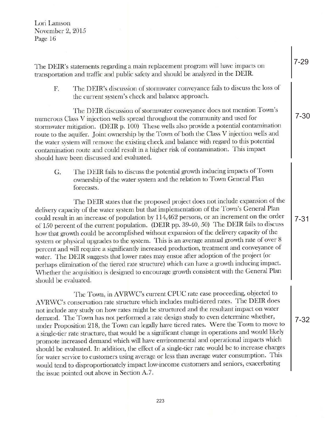Lori Lamson November 2, 2015 Page 16

The DEIR's statements regarding a main replacement program will have impacts on transportation and traffic and public safety and should be analyzed in the DEIR.

F. The DEIR's discussion of stormwater conveyance fails to discuss the loss of the current system's check and balance approach .

The DEIR discussion of stormwater conveyance does not mention Town's numerous Class V injection wells spread throughout the community and used for stormwater mitigation. (DEIR  $p. 100$ ) These wells also provide a potential contamination route to the aquifer. Joint ownership by the Town of both the Class V injection wells and the water system will remove the existing check and balance with regard to this potential contamination route and could result in a higher risk of contamination. This impact should have been discussed and evaluated.

G. The DEIR fails to discuss the potential growth inducing impacts of Town ownership of the water system and the relation to Town General Plan forecasts.

The DEIR states that the proposed project does not include expansion of the delivery capacity of the water system but that implementation of the Town's General Plan could result in an increase of population by 114,462 persons, or an increment on the order of 150 percent of the current population. (DEIR pp. 39-40, 50) The DEIR fails to discuss how that growth could be accomplished without expansion of the delivery capacity of the system or physical upgrades to the system. This is an average annual growth rate of over 8 percent and will require a significantly increased production, treatment and conveyance of water. The DEIR suggests that lower rates may ensue after adoption of the project (or perhaps elimination of the tiered rate structure) which can have a growth inducing impact. Whether the acquisition is designed to encourage growth consistent with the General Plan should be evaluated.

The Town, in AVRWC's current CPUC rate case proceeding, objected to A VRWC's conservation rate structure which includes multi-tiered rates. The DEIR does not include any study on how rates might be structured and the resultant impact on water dermmd. The Town has not performed a rate design study to even determine whether, under Proposition 218, the Town can legally have tiered rates. Were the Town to move to a single-tier rate structure, that would be a significant change in operations and would likely promote increased demand which will have environmental and operational impacts which should be evaluated. In addition, the effect of a single-tier rate would be to increase charges for water service to customers using average or less than average water consumption . This would tend to disproportionately impact low-income customers and seniors, exacerbating the issue pointed out above in Section A.7.

7-29

7-30

7-31

7-32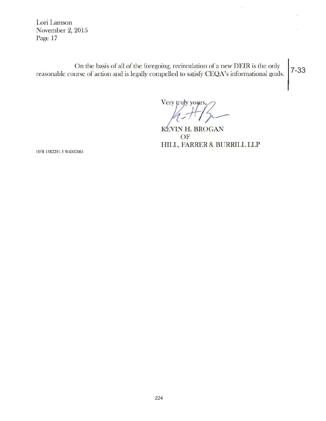Lori Lamson November 2, 2015 Page 17

On the basis of all of the foregoing, recirculation of a new DEIR is the only  $\begin{bmatrix} 7-33 \end{bmatrix}$ reasonable course of action and is legally compelled to satisfy CEQA's informational goals.

Very *truly* yours,

KÉVIN H. BROGAN OF HILL, FARRER & BURRILL LLP

HFB 1582291.5 W4302061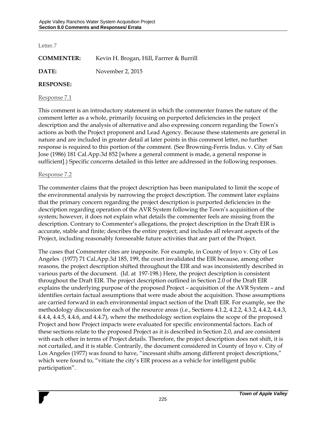Letter.7

**COMMENTER:** Kevin H. Brogan, Hill, Farrrer & Burrill

**DATE:** November 2, 2015

#### **RESPONSE:**

Response 7.1

This comment is an introductory statement in which the commenter frames the nature of the comment letter as a whole, primarily focusing on purported deficiencies in the project description and the analysis of alternative and also expressing concern regarding the Town's actions as both the Project proponent and Lead Agency. Because these statements are general in nature and are included in greater detail at later points in this comment letter, no further response is required to this portion of the comment. (See Browning-Ferris Indus. v. City of San Jose (1986) 181 Cal.App.3d 852 [where a general comment is made, a general response is sufficient].) Specific concerns detailed in this letter are addressed in the following responses.

#### Response 7.2

The commenter claims that the project description has been manipulated to limit the scope of the environmental analysis by narrowing the project description. The comment later explains that the primary concern regarding the project description is purported deficiencies in the description regarding operation of the AVR System following the Town's acquisition of the system; however, it does not explain what details the commenter feels are missing from the description. Contrary to Commenter's allegations, the project description in the Draft EIR is accurate, stable and finite; describes the entire project; and includes all relevant aspects of the Project, including reasonably foreseeable future activities that are part of the Project.

The cases that Commenter cites are inapposite. For example, in County of Inyo v. City of Los Angeles (1977) 71 Cal.App.3d 185, 199, the court invalidated the EIR because, among other reasons, the project description shifted throughout the EIR and was inconsistently described in various parts of the document. (Id. at 197-198.) Here, the project description is consistent throughout the Draft EIR. The project description outlined in Section 2.0 of the Draft EIR explains the underlying purpose of the proposed Project – acquisition of the AVR System – and identifies certain factual assumptions that were made about the acquisition. Those assumptions are carried forward in each environmental impact section of the Draft EIR. For example, see the methodology discussion for each of the resource areas (i.e., Sections 4.1.2, 4.2.2, 4.3.2, 4.4.2, 4.4.3, 4.4.4, 4.4.5, 4.4.6, and 4.4.7), where the methodology section explains the scope of the proposed Project and how Project impacts were evaluated for specific environmental factors. Each of these sections relate to the proposed Project as it is described in Section 2.0, and are consistent with each other in terms of Project details. Therefore, the project description does not shift, it is not curtailed, and it is stable. Contrarily, the document considered in County of Inyo v. City of Los Angeles (1977) was found to have, "incessant shifts among different project descriptions," which were found to, "vitiate the city's EIR process as a vehicle for intelligent public participation".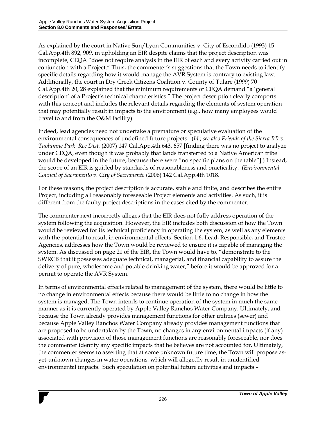As explained by the court in Native Sun/Lyon Communities v. City of Escondido (1993) 15 Cal.App.4th 892, 909, in upholding an EIR despite claims that the project description was incomplete, CEQA "does not require analysis in the EIR of each and every activity carried out in conjunction with a Project." Thus, the commenter's suggestions that the Town needs to identify specific details regarding how it would manage the AVR System is contrary to existing law. Additionally, the court in Dry Creek Citizens Coalition v. County of Tulare (1999) 70 Cal.App.4th 20, 28 explained that the minimum requirements of CEQA demand "a 'general description' of a Project's technical characteristics." The project description clearly comports with this concept and includes the relevant details regarding the elements of system operation that may potentially result in impacts to the environment (e.g., how many employees would travel to and from the O&M facility).

Indeed, lead agencies need not undertake a premature or speculative evaluation of the environmental consequences of undefined future projects. (*Id.*; *see also Friends of the Sierra RR v. Tuolumne Park Rec Dist.* (2007) 147 Cal.App.4th 643, 657 [finding there was no project to analyze under CEQA, even though it was probably that lands transferred to a Native American tribe would be developed in the future, because there were "no specific plans on the table"].) Instead, the scope of an EIR is guided by standards of reasonableness and practicality. (*Environmental Council of Sacramento v. City of Sacramento* (2006) 142 Cal.App.4th 1018.

For these reasons, the project description is accurate, stable and finite, and describes the entire Project, including all reasonably foreseeable Project elements and activities. As such, it is different from the faulty project descriptions in the cases cited by the commenter.

The commenter next incorrectly alleges that the EIR does not fully address operation of the system following the acquisition. However, the EIR includes both discussion of how the Town would be reviewed for its technical proficiency in operating the system, as well as any elements with the potential to result in environmental effects. Section 1.6, Lead, Responsible, and Trustee Agencies, addresses how the Town would be reviewed to ensure it is capable of managing the system. As discussed on page 21 of the EIR, the Town would have to, "demonstrate to the SWRCB that it possesses adequate technical, managerial, and financial capability to assure the delivery of pure, wholesome and potable drinking water," before it would be approved for a permit to operate the AVR System.

In terms of environmental effects related to management of the system, there would be little to no change in environmental effects because there would be little to no change in how the system is managed. The Town intends to continue operation of the system in much the same manner as it is currently operated by Apple Valley Ranchos Water Company. Ultimately, and because the Town already provides management functions for other utilities (sewer) and because Apple Valley Ranchos Water Company already provides management functions that are proposed to be undertaken by the Town, no changes in any environmental impacts (if any) associated with provision of those management functions are reasonably foreseeable, nor does the commenter identify any specific impacts that he believes are not accounted for. Ultimately, the commenter seems to asserting that at some unknown future time, the Town will propose asyet-unknown changes in water operations, which will allegedly result in unidentified environmental impacts. Such speculation on potential future activities and impacts –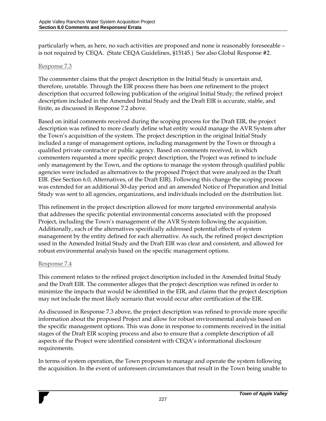particularly when, as here, no such activities are proposed and none is reasonably foreseeable – is not required by CEQA. (State CEQA Guidelines, §15145.) See also Global Response #2.

### Response 7.3

The commenter claims that the project description in the Initial Study is uncertain and, therefore, unstable. Through the EIR process there has been one refinement to the project description that occurred following publication of the original Initial Study; the refined project description included in the Amended Initial Study and the Draft EIR is accurate, stable, and finite, as discussed in Response 7.2 above.

Based on initial comments received during the scoping process for the Draft EIR, the project description was refined to more clearly define what entity would manage the AVR System after the Town's acquisition of the system. The project description in the original Initial Study included a range of management options, including management by the Town or through a qualified private contractor or public agency. Based on comments received, in which commenters requested a more specific project description, the Project was refined to include only management by the Town, and the options to manage the system through qualified public agencies were included as alternatives to the proposed Project that were analyzed in the Draft EIR. (See Section 6.0, Alternatives, of the Draft EIR). Following this change the scoping process was extended for an additional 30-day period and an amended Notice of Preparation and Initial Study was sent to all agencies, organizations, and individuals included on the distribution list.

This refinement in the project description allowed for more targeted environmental analysis that addresses the specific potential environmental concerns associated with the proposed Project, including the Town's management of the AVR System following the acquisition. Additionally, each of the alternatives specifically addressed potential effects of system management by the entity defined for each alternative. As such, the refined project description used in the Amended Initial Study and the Draft EIR was clear and consistent, and allowed for robust environmental analysis based on the specific management options.

#### Response 7.4

This comment relates to the refined project description included in the Amended Initial Study and the Draft EIR. The commenter alleges that the project description was refined in order to minimize the impacts that would be identified in the EIR, and claims that the project description may not include the most likely scenario that would occur after certification of the EIR.

As discussed in Response 7.3 above, the project description was refined to provide more specific information about the proposed Project and allow for robust environmental analysis based on the specific management options. This was done in response to comments received in the initial stages of the Draft EIR scoping process and also to ensure that a complete description of all aspects of the Project were identified consistent with CEQA's informational disclosure requirements.

In terms of system operation, the Town proposes to manage and operate the system following the acquisition. In the event of unforeseen circumstances that result in the Town being unable to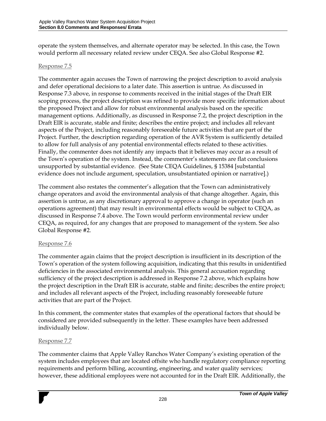operate the system themselves, and alternate operator may be selected. In this case, the Town would perform all necessary related review under CEQA. See also Global Response #2.

### Response 7.5

The commenter again accuses the Town of narrowing the project description to avoid analysis and defer operational decisions to a later date. This assertion is untrue. As discussed in Response 7.3 above, in response to comments received in the initial stages of the Draft EIR scoping process, the project description was refined to provide more specific information about the proposed Project and allow for robust environmental analysis based on the specific management options. Additionally, as discussed in Response 7.2, the project description in the Draft EIR is accurate, stable and finite; describes the entire project; and includes all relevant aspects of the Project, including reasonably foreseeable future activities that are part of the Project. Further, the description regarding operation of the AVR System is sufficiently detailed to allow for full analysis of any potential environmental effects related to these activities. Finally, the commenter does not identify any impacts that it believes may occur as a result of the Town's operation of the system. Instead, the commenter's statements are flat conclusions unsupported by substantial evidence. (See State CEQA Guidelines, § 15384 [substantial evidence does not include argument, speculation, unsubstantiated opinion or narrative].)

The comment also restates the commenter's allegation that the Town can administratively change operators and avoid the environmental analysis of that change altogether. Again, this assertion is untrue, as any discretionary approval to approve a change in operator (such an operations agreement) that may result in environmental effects would be subject to CEQA, as discussed in Response 7.4 above. The Town would perform environmental review under CEQA, as required, for any changes that are proposed to management of the system. See also Global Response #2.

#### Response 7.6

The commenter again claims that the project description is insufficient in its description of the Town's operation of the system following acquisition, indicating that this results in unidentified deficiencies in the associated environmental analysis. This general accusation regarding sufficiency of the project description is addressed in Response 7.2 above, which explains how the project description in the Draft EIR is accurate, stable and finite; describes the entire project; and includes all relevant aspects of the Project, including reasonably foreseeable future activities that are part of the Project.

In this comment, the commenter states that examples of the operational factors that should be considered are provided subsequently in the letter. These examples have been addressed individually below.

# Response 7.7

The commenter claims that Apple Valley Ranchos Water Company's existing operation of the system includes employees that are located offsite who handle regulatory compliance reporting requirements and perform billing, accounting, engineering, and water quality services; however, these additional employees were not accounted for in the Draft EIR. Additionally, the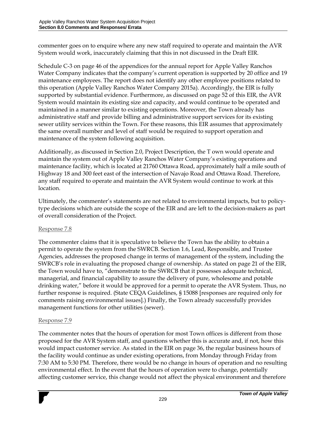commenter goes on to enquire where any new staff required to operate and maintain the AVR System would work, inaccurately claiming that this in not discussed in the Draft EIR.

Schedule C-3 on page 46 of the appendices for the annual report for Apple Valley Ranchos Water Company indicates that the company's current operation is supported by 20 office and 19 maintenance employees. The report does not identify any other employee positions related to this operation (Apple Valley Ranchos Water Company 2015a). Accordingly, the EIR is fully supported by substantial evidence. Furthermore, as discussed on page 52 of this EIR, the AVR System would maintain its existing size and capacity, and would continue to be operated and maintained in a manner similar to existing operations. Moreover, the Town already has administrative staff and provide billing and administrative support services for its existing sewer utility services within the Town. For these reasons, this EIR assumes that approximately the same overall number and level of staff would be required to support operation and maintenance of the system following acquisition.

Additionally, as discussed in Section 2.0, Project Description, the T own would operate and maintain the system out of Apple Valley Ranchos Water Company's existing operations and maintenance facility, which is located at 21760 Ottawa Road, approximately half a mile south of Highway 18 and 300 feet east of the intersection of Navajo Road and Ottawa Road. Therefore, any staff required to operate and maintain the AVR System would continue to work at this location.

Ultimately, the commenter's statements are not related to environmental impacts, but to policytype decisions which are outside the scope of the EIR and are left to the decision-makers as part of overall consideration of the Project.

# Response 7.8

The commenter claims that it is speculative to believe the Town has the ability to obtain a permit to operate the system from the SWRCB. Section 1.6, Lead, Responsible, and Trustee Agencies, addresses the proposed change in terms of management of the system, including the SWRCB's role in evaluating the proposed change of ownership. As stated on page 21 of the EIR, the Town would have to, "demonstrate to the SWRCB that it possesses adequate technical, managerial, and financial capability to assure the delivery of pure, wholesome and potable drinking water," before it would be approved for a permit to operate the AVR System. Thus, no further response is required. (State CEQA Guidelines, § 15088 [responses are required only for comments raising environmental issues].) Finally, the Town already successfully provides management functions for other utilities (sewer).

# Response 7.9

The commenter notes that the hours of operation for most Town offices is different from those proposed for the AVR System staff, and questions whether this is accurate and, if not, how this would impact customer service. As stated in the EIR on page 36, the regular business hours of the facility would continue as under existing operations, from Monday through Friday from 7:30 AM to 5:30 PM. Therefore, there would be no change in hours of operation and no resulting environmental effect. In the event that the hours of operation were to change, potentially affecting customer service, this change would not affect the physical environment and therefore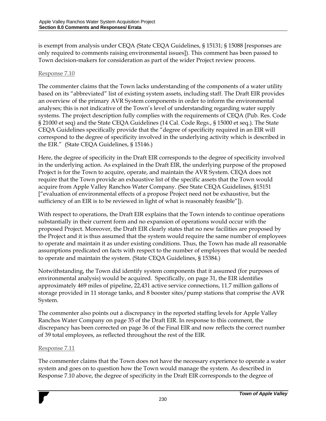is exempt from analysis under CEQA (State CEQA Guidelines, § 15131; § 15088 [responses are only required to comments raising environmental issues]). This comment has been passed to Town decision-makers for consideration as part of the wider Project review process.

### Response 7.10

The commenter claims that the Town lacks understanding of the components of a water utility based on its "abbreviated" list of existing system assets, including staff. The Draft EIR provides an overview of the primary AVR System components in order to inform the environmental analyses; this is not indicative of the Town's level of understanding regarding water supply systems. The project description fully complies with the requirements of CEQA (Pub. Res. Code § 21000 et seq) and the State CEQA Guidelines (14 Cal. Code Regs., § 15000 et seq.). The State CEQA Guidelines specifically provide that the "degree of specificity required in an EIR will correspond to the degree of specificity involved in the underlying activity which is described in the EIR." (State CEQA Guidelines, § 15146.)

Here, the degree of specificity in the Draft EIR corresponds to the degree of specificity involved in the underlying action. As explained in the Draft EIR, the underlying purpose of the proposed Project is for the Town to acquire, operate, and maintain the AVR System. CEQA does not require that the Town provide an exhaustive list of the specific assets that the Town would acquire from Apple Valley Ranchos Water Company. (See State CEQA Guidelines, §15151 ["evaluation of environmental effects of a propose Project need not be exhaustive, but the sufficiency of an EIR is to be reviewed in light of what is reasonably feasible"]).

With respect to operations, the Draft EIR explains that the Town intends to continue operations substantially in their current form and no expansion of operations would occur with the proposed Project. Moreover, the Draft EIR clearly states that no new facilities are proposed by the Project and it is thus assumed that the system would require the same number of employees to operate and maintain it as under existing conditions. Thus, the Town has made all reasonable assumptions predicated on facts with respect to the number of employees that would be needed to operate and maintain the system. (State CEQA Guidelines, § 15384.)

Notwithstanding, the Town did identify system components that it assumed (for purposes of environmental analysis) would be acquired. Specifically, on page 31, the EIR identifies approximately 469 miles of pipeline, 22,431 active service connections, 11.7 million gallons of storage provided in 11 storage tanks, and 8 booster sites/pump stations that comprise the AVR System.

The commenter also points out a discrepancy in the reported staffing levels for Apple Valley Ranchos Water Company on page 35 of the Draft EIR. In response to this comment, the discrepancy has been corrected on page 36 of the Final EIR and now reflects the correct number of 39 total employees, as reflected throughout the rest of the EIR.

#### Response 7.11

The commenter claims that the Town does not have the necessary experience to operate a water system and goes on to question how the Town would manage the system. As described in Response 7.10 above, the degree of specificity in the Draft EIR corresponds to the degree of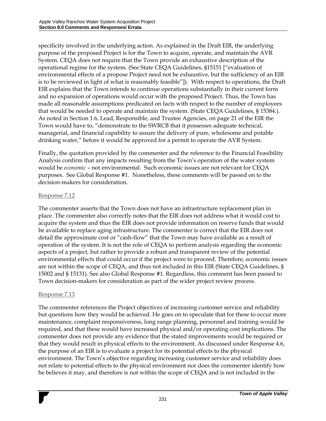specificity involved in the underlying action. As explained in the Draft EIR, the underlying purpose of the proposed Project is for the Town to acquire, operate, and maintain the AVR System. CEQA does not require that the Town provide an exhaustive description of the operational regime for the system. (See State CEQA Guidelines, §15151 ["evaluation of environmental effects of a propose Project need not be exhaustive, but the sufficiency of an EIR is to be reviewed in light of what is reasonably feasible"]). With respect to operations, the Draft EIR explains that the Town intends to continue operations substantially in their current form and no expansion of operations would occur with the proposed Project. Thus, the Town has made all reasonable assumptions predicated on facts with respect to the number of employees that would be needed to operate and maintain the system. (State CEQA Guidelines, § 15384.). As noted in Section 1.6, Lead, Responsible, and Trustee Agencies, on page 21 of the EIR the Town would have to, "demonstrate to the SWRCB that it possesses adequate technical, managerial, and financial capability to assure the delivery of pure, wholesome and potable drinking water," before it would be approved for a permit to operate the AVR System.

Finally, the quotation provided by the commenter and the reference to the Financial Feasibility Analysis confirm that any impacts resulting from the Town's operation of the water system would be *economic* – not environmental. Such economic issues are not relevant for CEQA purposes. See Global Response #1. Nonetheless, these comments will be passed on to the decision-makers for consideration.

### Response 7.12

The commenter asserts that the Town does not have an infrastructure replacement plan in place. The commenter also correctly notes that the EIR does not address what it would cost to acquire the system and thus the EIR does not provide information on reserve funds that would be available to replace aging infrastructure. The commenter is correct that the EIR does not detail the approximate cost or "cash-flow" that the Town may have available as a result of operation of the system. It is not the role of CEQA to perform analysis regarding the economic aspects of a project, but rather to provide a robust and transparent review of the potential environmental effects that could occur if the project were to proceed. Therefore, economic issues are not within the scope of CEQA, and thus not included in this EIR (State CEQA Guidelines, § 15002 and § 15131). See also Global Response #1. Regardless, this comment has been passed to Town decision-makers for consideration as part of the wider project review process.

# Response 7.13

The commenter references the Project objectives of increasing customer service and reliability but questions how they would be achieved. He goes on to speculate that for these to occur more maintenance, complaint responsiveness, long range planning, personnel and training would be required, and that these would have increased physical and/or operating cost implications. The commenter does not provide any evidence that the stated improvements would be required or that they would result in physical effects to the environment. As discussed under Response 4.6, the purpose of an EIR is to evaluate a project for its potential effects to the physical environment. The Town's objective regarding increasing customer service and reliability does not relate to potential effects to the physical environment nor does the commenter identify how he believes it may, and therefore is not within the scope of CEQA and is not included in the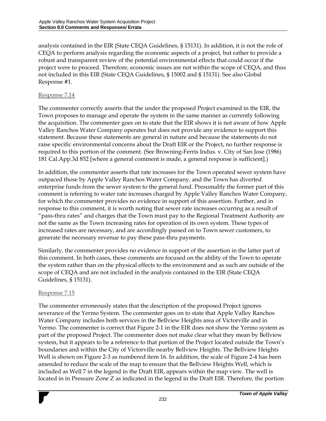analysis contained in the EIR (State CEQA Guidelines, § 15131). In addition, it is not the role of CEQA to perform analysis regarding the economic aspects of a project, but rather to provide a robust and transparent review of the potential environmental effects that could occur if the project were to proceed. Therefore, economic issues are not within the scope of CEQA, and thus not included in this EIR (State CEQA Guidelines, § 15002 and § 15131). See also Global Response #1.

### Response 7.14

The commenter correctly asserts that the under the proposed Project examined in the EIR, the Town proposes to manage and operate the system in the same manner as currently following the acquisition. The commenter goes on to state that the EIR shows it is not aware of how Apple Valley Ranchos Water Company operates but does not provide any evidence to support this statement. Because these statements are general in nature and because the statements do not raise specific environmental concerns about the Draft EIR or the Project, no further response is required to this portion of the comment. (See Browning-Ferris Indus. v. City of San Jose (1986) 181 Cal.App.3d 852 [where a general comment is made, a general response is sufficient].)

In addition, the commenter asserts that rate increases for the Town operated sewer system have outpaced those by Apple Valley Ranchos Water Company, and the Town has diverted enterprise funds from the sewer system to the general fund. Presumably the former part of this comment is referring to water rate increases charged by Apple Valley Ranchos Water Company, for which the commenter provides no evidence in support of this assertion. Further, and in response to this comment, it is worth noting that sewer rate increases occurring as a result of "pass-thru rates" and charges that the Town must pay to the Regional Treatment Authority are not the same as the Town increasing rates for operation of its own system. These types of increased rates are necessary, and are accordingly passed on to Town sewer customers, to generate the necessary revenue to pay these pass-thru payments.

Similarly, the commenter provides no evidence in support of the assertion in the latter part of this comment. In both cases, these comments are focused on the ability of the Town to operate the system rather than on the physical effects to the environment and as such are outside of the scope of CEQA and are not included in the analysis contained in the EIR (State CEQA Guidelines, § 15131).

# Response 7.15

The commenter erroneously states that the description of the proposed Project ignores severance of the Yermo System. The commenter goes on to state that Apple Valley Ranchos Water Company includes both services in the Bellview Heights area of Victorville and in Yermo. The commenter is correct that Figure 2-1 in the EIR does not show the Yermo system as part of the proposed Project. The commenter does not make clear what they mean by Bellview system, but it appears to be a reference to that portion of the Project located outside the Town's boundaries and within the City of Victorville nearby Bellview Heights. The Bellview Heights Well is shown on Figure 2-3 as numbered item 16. In addition, the scale of Figure 2-4 has been amended to reduce the scale of the map to ensure that the Bellview Heights Well, which is included as Well 7 in the legend in the Draft EIR, appears within the map view. The well is located in in Pressure Zone Z as indicated in the legend in the Draft EIR. Therefore, the portion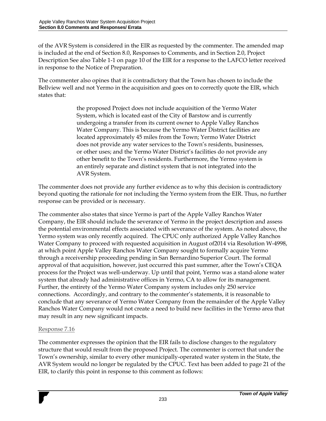of the AVR System is considered in the EIR as requested by the commenter. The amended map is included at the end of Section 8.0, Responses to Comments, and in Section 2.0, Project Description See also Table 1-1 on page 10 of the EIR for a response to the LAFCO letter received in response to the Notice of Preparation.

The commenter also opines that it is contradictory that the Town has chosen to include the Bellview well and not Yermo in the acquisition and goes on to correctly quote the EIR, which states that:

> the proposed Project does not include acquisition of the Yermo Water System, which is located east of the City of Barstow and is currently undergoing a transfer from its current owner to Apple Valley Ranchos Water Company. This is because the Yermo Water District facilities are located approximately 45 miles from the Town; Yermo Water District does not provide any water services to the Town's residents, businesses, or other uses; and the Yermo Water District's facilities do not provide any other benefit to the Town's residents. Furthermore, the Yermo system is an entirely separate and distinct system that is not integrated into the AVR System.

The commenter does not provide any further evidence as to why this decision is contradictory beyond quoting the rationale for not including the Yermo system from the EIR. Thus, no further response can be provided or is necessary.

The commenter also states that since Yermo is part of the Apple Valley Ranchos Water Company, the EIR should include the severance of Yermo in the project description and assess the potential environmental effects associated with severance of the system. As noted above, the Yermo system was only recently acquired. The CPUC only authorized Apple Valley Ranchos Water Company to proceed with requested acquisition in August of2014 via Resolution W-4998, at which point Apple Valley Ranchos Water Company sought to formally acquire Yermo through a receivership proceeding pending in San Bernardino Superior Court. The formal approval of that acquisition, however, just occurred this past summer, after the Town's CEQA process for the Project was well-underway. Up until that point, Yermo was a stand-alone water system that already had administrative offices in Yermo, CA to allow for its management. Further, the entirety of the Yermo Water Company system includes only 250 service connections. Accordingly, and contrary to the commenter's statements, it is reasonable to conclude that any severance of Yermo Water Company from the remainder of the Apple Valley Ranchos Water Company would not create a need to build new facilities in the Yermo area that may result in any new significant impacts.

# Response 7.16

The commenter expresses the opinion that the EIR fails to disclose changes to the regulatory structure that would result from the proposed Project. The commenter is correct that under the Town's ownership, similar to every other municipally-operated water system in the State, the AVR System would no longer be regulated by the CPUC. Text has been added to page 21 of the EIR, to clarify this point in response to this comment as follows: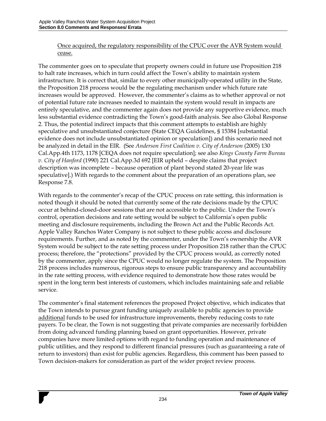# Once acquired, the regulatory responsibility of the CPUC over the AVR System would cease.

The commenter goes on to speculate that property owners could in future use Proposition 218 to halt rate increases, which in turn could affect the Town's ability to maintain system infrastructure. It is correct that, similar to every other municipally-operated utility in the State, the Proposition 218 process would be the regulating mechanism under which future rate increases would be approved. However, the commenter's claims as to whether approval or not of potential future rate increases needed to maintain the system would result in impacts are entirely speculative, and the commenter again does not provide any supportive evidence, much less substantial evidence contradicting the Town's good-faith analysis. See also Global Response 2. Thus, the potential indirect impacts that this comment attempts to establish are highly speculative and unsubstantiated conjecture (State CEQA Guidelines, § 15384 [substantial evidence does not include unsubstantiated opinion or speculation]) and this scenario need not be analyzed in detail in the EIR. (See *Anderson First Coalition v. City of Anderson* (2005) 130 Cal.App.4th 1173, 1178 [CEQA does not require speculation]; see also *Kings County Farm Bureau v. City of Hanford* (1990) 221 Cal.App.3d 692 [EIR upheld – despite claims that project description was incomplete – because operation of plant beyond stated 20-year life was speculative].) With regards to the comment about the preparation of an operations plan, see Response 7.8.

With regards to the commenter's recap of the CPUC process on rate setting, this information is noted though it should be noted that currently some of the rate decisions made by the CPUC occur at behind-closed-door sessions that are not accessible to the public. Under the Town's control, operation decisions and rate setting would be subject to California's open public meeting and disclosure requirements, including the Brown Act and the Public Records Act. Apple Valley Ranchos Water Company is not subject to these public access and disclosure requirements. Further, and as noted by the commenter, under the Town's ownership the AVR System would be subject to the rate setting process under Proposition 218 rather than the CPUC process; therefore, the "protections" provided by the CPUC process would, as correctly noted by the commenter, apply since the CPUC would no longer regulate the system. The Proposition 218 process includes numerous, rigorous steps to ensure public transparency and accountability in the rate setting process, with evidence required to demonstrate how those rates would be spent in the long term best interests of customers, which includes maintaining safe and reliable service.

The commenter's final statement references the proposed Project objective, which indicates that the Town intends to pursue grant funding uniquely available to public agencies to provide additional funds to be used for infrastructure improvements, thereby reducing costs to rate payers. To be clear, the Town is not suggesting that private companies are necessarily forbidden from doing advanced funding planning based on grant opportunities. However, private companies have more limited options with regard to funding operation and maintenance of public utilities, and they respond to different financial pressures (such as guaranteeing a rate of return to investors) than exist for public agencies. Regardless, this comment has been passed to Town decision-makers for consideration as part of the wider project review process.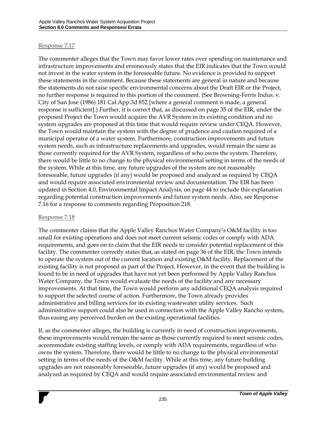# Response 7.17

The commenter alleges that the Town may favor lower rates over spending on maintenance and infrastructure improvements and erroneously states that the EIR indicates that the Town would not invest in the water system in the foreseeable future. No evidence is provided to support these statements in the comment. Because these statements are general in nature and because the statements do not raise specific environmental concerns about the Draft EIR or the Project, no further response is required to this portion of the comment. (See Browning-Ferris Indus. v. City of San Jose (1986) 181 Cal.App.3d 852 [where a general comment is made, a general response is sufficient].) Further, it is correct that, as discussed on page 35 of the EIR, under the proposed Project the Town would acquire the AVR System in its existing condition and no system upgrades are proposed at this time that would require review under CEQA. However, the Town would maintain the system with the degree of prudence and caution required of a municipal operator of a water system. Furthermore, construction improvements and future system needs, such as infrastructure replacements and upgrades, would remain the same as those currently required for the AVR System, regardless of who owns the system. Therefore, there would be little to no change to the physical environmental setting in terms of the needs of the system. While at this time, any future upgrades of the system are not reasonably foreseeable, future upgrades (if any) would be proposed and analyzed as required by CEQA and would require associated environmental review and documentation. The EIR has been updated in Section 4.0, Environmental Impact Analysis, on page 44 to include this explanation regarding potential construction improvements and future system needs. Also, see Response 7.16 for a response to comments regarding Proposition 218.

#### Response 7.18

The commenter claims that the Apple Valley Ranchos Water Company's O&M facility is too small for existing operations and does not meet current seismic codes or comply with ADA requirements, and goes on to claim that the EIR needs to consider potential replacement of this facility. The commenter correctly states that, as stated on page 36 of the EIR, the Town intends to operate the system out of the current location and existing O&M facility. Replacement of the existing facility is not proposed as part of the Project. However, in the event that the building is found to be in need of upgrades that have not yet been performed by Apple Valley Ranchos Water Company, the Town would evaluate the needs of the facility and any necessary improvements. At that time, the Town would perform any additional CEQA analysis required to support the selected course of action. Furthermore, the Town already provides administrative and billing services for its existing wastewater utility services. Such administrative support could also be used in connection with the Apple Valley Rancho system, thus easing any perceived burden on the existing operational facilities.

If, as the commenter alleges, the building is currently in need of construction improvements, these improvements would remain the same as those currently required to meet seismic codes, accommodate existing staffing levels, or comply with ADA requirements, regardless of who owns the system. Therefore, there would be little to no change to the physical environmental setting in terms of the needs of the O&M facility. While at this time, any future building upgrades are not reasonably foreseeable, future upgrades (if any) would be proposed and analyzed as required by CEQA and would require associated environmental review and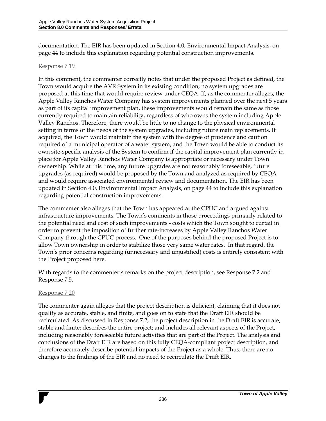documentation. The EIR has been updated in Section 4.0, Environmental Impact Analysis, on page 44 to include this explanation regarding potential construction improvements.

# Response 7.19

In this comment, the commenter correctly notes that under the proposed Project as defined, the Town would acquire the AVR System in its existing condition; no system upgrades are proposed at this time that would require review under CEQA. If, as the commenter alleges, the Apple Valley Ranchos Water Company has system improvements planned over the next 5 years as part of its capital improvement plan, these improvements would remain the same as those currently required to maintain reliability, regardless of who owns the system including Apple Valley Ranchos. Therefore, there would be little to no change to the physical environmental setting in terms of the needs of the system upgrades, including future main replacements. If acquired, the Town would maintain the system with the degree of prudence and caution required of a municipal operator of a water system, and the Town would be able to conduct its own site-specific analysis of the System to confirm if the capital improvement plan currently in place for Apple Valley Ranchos Water Company is appropriate or necessary under Town ownership. While at this time, any future upgrades are not reasonably foreseeable, future upgrades (as required) would be proposed by the Town and analyzed as required by CEQA and would require associated environmental review and documentation. The EIR has been updated in Section 4.0, Environmental Impact Analysis, on page 44 to include this explanation regarding potential construction improvements.

The commenter also alleges that the Town has appeared at the CPUC and argued against infrastructure improvements. The Town's comments in those proceedings primarily related to the potential need and cost of such improvements - costs which the Town sought to curtail in order to prevent the imposition of further rate-increases by Apple Valley Ranchos Water Company through the CPUC process. One of the purposes behind the proposed Project is to allow Town ownership in order to stabilize those very same water rates. In that regard, the Town's prior concerns regarding (unnecessary and unjustified) costs is entirely consistent with the Project proposed here.

With regards to the commenter's remarks on the project description, see Response 7.2 and Response 7.5.

# Response 7.20

The commenter again alleges that the project description is deficient, claiming that it does not qualify as accurate, stable, and finite, and goes on to state that the Draft EIR should be recirculated. As discussed in Response 7.2, the project description in the Draft EIR is accurate, stable and finite; describes the entire project; and includes all relevant aspects of the Project, including reasonably foreseeable future activities that are part of the Project. The analysis and conclusions of the Draft EIR are based on this fully CEQA-compliant project description, and therefore accurately describe potential impacts of the Project as a whole. Thus, there are no changes to the findings of the EIR and no need to recirculate the Draft EIR.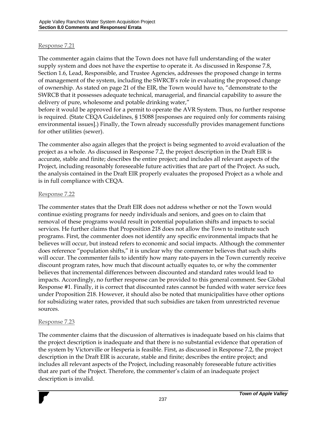# Response 7.21

The commenter again claims that the Town does not have full understanding of the water supply system and does not have the expertise to operate it. As discussed in Response 7.8, Section 1.6, Lead, Responsible, and Trustee Agencies, addresses the proposed change in terms of management of the system, including the SWRCB's role in evaluating the proposed change of ownership. As stated on page 21 of the EIR, the Town would have to, "demonstrate to the SWRCB that it possesses adequate technical, managerial, and financial capability to assure the delivery of pure, wholesome and potable drinking water,"

before it would be approved for a permit to operate the AVR System. Thus, no further response is required. (State CEQA Guidelines, § 15088 [responses are required only for comments raising environmental issues].) Finally, the Town already successfully provides management functions for other utilities (sewer).

The commenter also again alleges that the project is being segmented to avoid evaluation of the project as a whole. As discussed in Response 7.2, the project description in the Draft EIR is accurate, stable and finite; describes the entire project; and includes all relevant aspects of the Project, including reasonably foreseeable future activities that are part of the Project. As such, the analysis contained in the Draft EIR properly evaluates the proposed Project as a whole and is in full compliance with CEQA.

### Response 7.22

The commenter states that the Draft EIR does not address whether or not the Town would continue existing programs for needy individuals and seniors, and goes on to claim that removal of these programs would result in potential population shifts and impacts to social services. He further claims that Proposition 218 does not allow the Town to institute such programs. First, the commenter does not identify any specific environmental impacts that he believes will occur, but instead refers to economic and social impacts. Although the commenter does reference "population shifts," it is unclear why the commenter believes that such shifts will occur. The commenter fails to identify how many rate-payers in the Town currently receive discount program rates, how much that discount actually equates to, or why the commenter believes that incremental differences between discounted and standard rates would lead to impacts. Accordingly, no further response can be provided to this general comment. See Global Response #1. Finally, it is correct that discounted rates cannot be funded with water service fees under Proposition 218. However, it should also be noted that municipalities have other options for subsidizing water rates, provided that such subsidies are taken from unrestricted revenue sources.

# Response 7.23

The commenter claims that the discussion of alternatives is inadequate based on his claims that the project description is inadequate and that there is no substantial evidence that operation of the system by Victorville or Hesperia is feasible. First, as discussed in Response 7.2, the project description in the Draft EIR is accurate, stable and finite; describes the entire project; and includes all relevant aspects of the Project, including reasonably foreseeable future activities that are part of the Project. Therefore, the commenter's claim of an inadequate project description is invalid.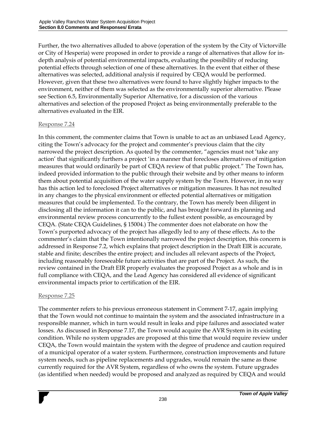Further, the two alternatives alluded to above (operation of the system by the City of Victorville or City of Hesperia) were proposed in order to provide a range of alternatives that allow for indepth analysis of potential environmental impacts, evaluating the possibility of reducing potential effects through selection of one of these alternatives. In the event that either of these alternatives was selected, additional analysis if required by CEQA would be performed. However, given that these two alternatives were found to have slightly higher impacts to the environment, neither of them was selected as the environmentally superior alternative. Please see Section 6.5, Environmentally Superior Alternative, for a discussion of the various alternatives and selection of the proposed Project as being environmentally preferable to the alternatives evaluated in the EIR.

### Response 7.24

In this comment, the commenter claims that Town is unable to act as an unbiased Lead Agency, citing the Town's advocacy for the project and commenter's previous claim that the city narrowed the project description. As quoted by the commenter, "agencies must not 'take any action' that significantly furthers a project 'in a manner that forecloses alternatives of mitigation measures that would ordinarily be part of CEQA review of that public project." The Town has, indeed provided information to the public through their website and by other means to inform them about potential acquisition of the water supply system by the Town. However, in no way has this action led to foreclosed Project alternatives or mitigation measures. It has not resulted in any changes to the physical environment or effected potential alternatives or mitigation measures that could be implemented. To the contrary, the Town has merely been diligent in disclosing all the information it can to the public, and has brought forward its planning and environmental review process concurrently to the fullest extent possible, as encouraged by CEQA. (State CEQA Guidelines, § 15004.) The commenter does not elaborate on how the Town's purported advocacy of the project has allegedly led to any of these effects. As to the commenter's claim that the Town intentionally narrowed the project description, this concern is addressed in Response 7.2, which explains that project description in the Draft EIR is accurate, stable and finite; describes the entire project; and includes all relevant aspects of the Project, including reasonably foreseeable future activities that are part of the Project. As such, the review contained in the Draft EIR properly evaluates the proposed Project as a whole and is in full compliance with CEQA, and the Lead Agency has considered all evidence of significant environmental impacts prior to certification of the EIR.

#### Response 7.25

The commenter refers to his previous erroneous statement in Comment 7-17, again implying that the Town would not continue to maintain the system and the associated infrastructure in a responsible manner, which in turn would result in leaks and pipe failures and associated water losses. As discussed in Response 7.17, the Town would acquire the AVR System in its existing condition. While no system upgrades are proposed at this time that would require review under CEQA, the Town would maintain the system with the degree of prudence and caution required of a municipal operator of a water system. Furthermore, construction improvements and future system needs, such as pipeline replacements and upgrades, would remain the same as those currently required for the AVR System, regardless of who owns the system. Future upgrades (as identified when needed) would be proposed and analyzed as required by CEQA and would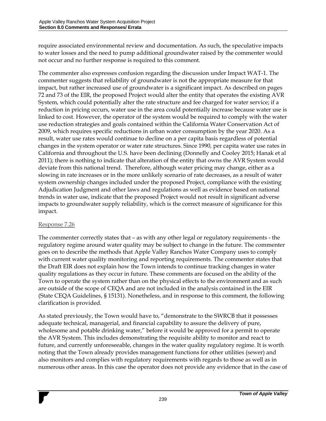require associated environmental review and documentation. As such, the speculative impacts to water losses and the need to pump additional groundwater raised by the commenter would not occur and no further response is required to this comment.

The commenter also expresses confusion regarding the discussion under Impact WAT-1. The commenter suggests that reliability of groundwater is not the appropriate measure for that impact, but rather increased use of groundwater is a significant impact. As described on pages 72 and 73 of the EIR, the proposed Project would alter the entity that operates the existing AVR System, which could potentially alter the rate structure and fee charged for water service; if a reduction in pricing occurs, water use in the area could potentially increase because water use is linked to cost. However, the operator of the system would be required to comply with the water use reduction strategies and goals contained within the California Water Conservation Act of 2009, which requires specific reductions in urban water consumption by the year 2020. As a result, water use rates would continue to decline on a per capita basis regardless of potential changes in the system operator or water rate structures. Since 1990, per capita water use rates in California and throughout the U.S. have been declining (Donnelly and Cooley 2015; Hanak et al 2011); there is nothing to indicate that alteration of the entity that owns the AVR System would deviate from this national trend. Therefore, although water pricing may change, either as a slowing in rate increases or in the more unlikely scenario of rate decreases, as a result of water system ownership changes included under the proposed Project, compliance with the existing Adjudication Judgment and other laws and regulations as well as evidence based on national trends in water use, indicate that the proposed Project would not result in significant adverse impacts to groundwater supply reliability, which is the correct measure of significance for this impact.

# Response 7.26

The commenter correctly states that – as with any other legal or regulatory requirements - the regulatory regime around water quality may be subject to change in the future. The commenter goes on to describe the methods that Apple Valley Ranchos Water Company uses to comply with current water quality monitoring and reporting requirements. The commenter states that the Draft EIR does not explain how the Town intends to continue tracking changes in water quality regulations as they occur in future. These comments are focused on the ability of the Town to operate the system rather than on the physical effects to the environment and as such are outside of the scope of CEQA and are not included in the analysis contained in the EIR (State CEQA Guidelines, § 15131). Nonetheless, and in response to this comment, the following clarification is provided.

As stated previously, the Town would have to, "demonstrate to the SWRCB that it possesses adequate technical, managerial, and financial capability to assure the delivery of pure, wholesome and potable drinking water," before it would be approved for a permit to operate the AVR System. This includes demonstrating the requisite ability to monitor and react to future, and currently unforeseeable, changes in the water quality regulatory regime. It is worth noting that the Town already provides management functions for other utilities (sewer) and also monitors and complies with regulatory requirements with regards to those as well as in numerous other areas. In this case the operator does not provide any evidence that in the case of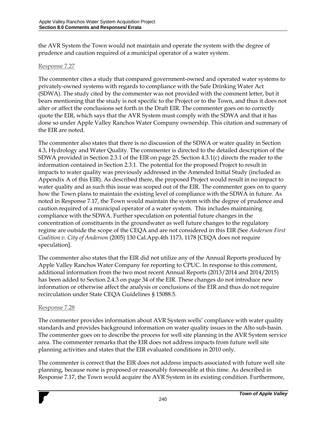the AVR System the Town would not maintain and operate the system with the degree of prudence and caution required of a municipal operator of a water system.

### Response 7.27

The commenter cites a study that compared government-owned and operated water systems to privately-owned systems with regards to compliance with the Safe Drinking Water Act (SDWA). The study cited by the commenter was not provided with the comment letter, but it bears mentioning that the study is not specific to the Project or to the Town, and thus it does not alter or affect the conclusions set forth in the Draft EIR. The commenter goes on to correctly quote the EIR, which says that the AVR System must comply with the SDWA and that it has done so under Apple Valley Ranchos Water Company ownership. This citation and summary of the EIR are noted.

The commenter also states that there is no discussion of the SDWA or water quality in Section 4.3, Hydrology and Water Quality. The commenter is directed to the detailed description of the SDWA provided in Section 2.3.1 of the EIR on page 25. Section 4.3.1(c) directs the reader to the information contained in Section 2.3.1. The potential for the proposed Project to result in impacts to water quality was previously addressed in the Amended Initial Study (included as Appendix A of this EIR). As described there, the proposed Project would result in no impact to water quality and as such this issue was scoped out of the EIR. The commenter goes on to query how the Town plans to maintain the existing level of compliance with the SDWA in future. As noted in Response 7.17, the Town would maintain the system with the degree of prudence and caution required of a municipal operator of a water system. This includes maintaining compliance with the SDWA. Further speculation on potential future changes in the concentration of constituents in the groundwater as well future changes to the regulatory regime are outside the scope of the CEQA and are not considered in this EIR (See *Anderson First Coalition v. City of Anderson* (2005) 130 Cal.App.4th 1173, 1178 [CEQA does not require speculation].

The commenter also states that the EIR did not utilize any of the Annual Reports produced by Apple Valley Ranchos Water Company for reporting to CPUC. In response to this comment, additional information from the two most recent Annual Reports (2013/2014 and 2014/2015) has been added to Section 2.4.3 on page 34 of the EIR. These changes do not introduce new information or otherwise affect the analysis or conclusions of the EIR and thus do not require recirculation under State CEQA Guidelines § 15088.5.

#### Response 7.28

The commenter provides information about AVR System wells' compliance with water quality standards and provides background information on water quality issues in the Alto sub-basin. The commenter goes on to describe the process for well site planning in the AVR System service area. The commenter remarks that the EIR does not address impacts from future well site planning activities and states that the EIR evaluated conditions in 2010 only.

The commenter is correct that the EIR does not address impacts associated with future well site planning, because none is proposed or reasonably foreseeable at this time. As described in Response 7.17, the Town would acquire the AVR System in its existing condition. Furthermore,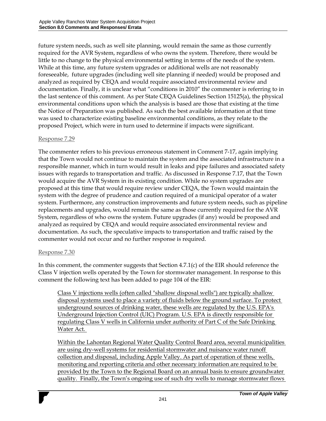future system needs, such as well site planning, would remain the same as those currently required for the AVR System, regardless of who owns the system. Therefore, there would be little to no change to the physical environmental setting in terms of the needs of the system. While at this time, any future system upgrades or additional wells are not reasonably foreseeable, future upgrades (including well site planning if needed) would be proposed and analyzed as required by CEQA and would require associated environmental review and documentation. Finally, it is unclear what "conditions in 2010" the commenter is referring to in the last sentence of this comment. As per State CEQA Guidelines Section 15125(a), the physical environmental conditions upon which the analysis is based are those that existing at the time the Notice of Preparation was published. As such the best available information at that time was used to characterize existing baseline environmental conditions, as they relate to the proposed Project, which were in turn used to determine if impacts were significant.

#### Response 7.29

The commenter refers to his previous erroneous statement in Comment 7-17, again implying that the Town would not continue to maintain the system and the associated infrastructure in a responsible manner, which in turn would result in leaks and pipe failures and associated safety issues with regards to transportation and traffic. As discussed in Response 7.17, that the Town would acquire the AVR System in its existing condition. While no system upgrades are proposed at this time that would require review under CEQA, the Town would maintain the system with the degree of prudence and caution required of a municipal operator of a water system. Furthermore, any construction improvements and future system needs, such as pipeline replacements and upgrades, would remain the same as those currently required for the AVR System, regardless of who owns the system. Future upgrades (if any) would be proposed and analyzed as required by CEQA and would require associated environmental review and documentation. As such, the speculative impacts to transportation and traffic raised by the commenter would not occur and no further response is required.

#### Response 7.30

In this comment, the commenter suggests that Section 4.7.1(c) of the EIR should reference the Class V injection wells operated by the Town for stormwater management. In response to this comment the following text has been added to page 104 of the EIR:

Class V injections wells (often called "shallow disposal wells") are typically shallow disposal systems used to place a variety of fluids below the ground surface. To protect underground sources of drinking water, these wells are regulated by the U.S. EPA's Underground Injection Control (UIC) Program. U.S. EPA is directly responsible for regulating Class V wells in California under authority of Part C of the Safe Drinking Water Act.

Within the Lahontan Regional Water Quality Control Board area, several municipalities are using dry-well systems for residential stormwater and nuisance water runoff collection and disposal, including Apple Valley. As part of operation of these wells, monitoring and reporting criteria and other necessary information are required to be provided by the Town to the Regional Board on an annual basis to ensure groundwater quality. Finally, the Town's ongoing use of such dry wells to manage stormwater flows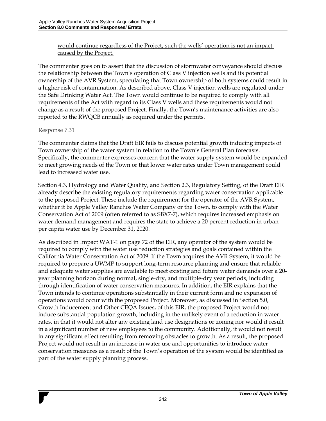# would continue regardless of the Project, such the wells' operation is not an impact caused by the Project.

The commenter goes on to assert that the discussion of stormwater conveyance should discuss the relationship between the Town's operation of Class V injection wells and its potential ownership of the AVR System, speculating that Town ownership of both systems could result in a higher risk of contamination. As described above, Class V injection wells are regulated under the Safe Drinking Water Act. The Town would continue to be required to comply with all requirements of the Act with regard to its Class V wells and these requirements would not change as a result of the proposed Project. Finally, the Town's maintenance activities are also reported to the RWQCB annually as required under the permits.

### Response 7.31

The commenter claims that the Draft EIR fails to discuss potential growth inducing impacts of Town ownership of the water system in relation to the Town's General Plan forecasts. Specifically, the commenter expresses concern that the water supply system would be expanded to meet growing needs of the Town or that lower water rates under Town management could lead to increased water use.

Section 4.3, Hydrology and Water Quality, and Section 2.3, Regulatory Setting, of the Draft EIR already describe the existing regulatory requirements regarding water conservation applicable to the proposed Project. These include the requirement for the operator of the AVR System, whether it be Apple Valley Ranchos Water Company or the Town, to comply with the Water Conservation Act of 2009 (often referred to as SBX7-7), which requires increased emphasis on water demand management and requires the state to achieve a 20 percent reduction in urban per capita water use by December 31, 2020.

As described in Impact WAT-1 on page 72 of the EIR, any operator of the system would be required to comply with the water use reduction strategies and goals contained within the California Water Conservation Act of 2009. If the Town acquires the AVR System, it would be required to prepare a UWMP to support long-term resource planning and ensure that reliable and adequate water supplies are available to meet existing and future water demands over a 20 year planning horizon during normal, single-dry, and multiple-dry year periods, including through identification of water conservation measures. In addition, the EIR explains that the Town intends to continue operations substantially in their current form and no expansion of operations would occur with the proposed Project. Moreover, as discussed in Section 5.0, Growth Inducement and Other CEQA Issues, of this EIR, the proposed Project would not induce substantial population growth, including in the unlikely event of a reduction in water rates, in that it would not alter any existing land use designations or zoning nor would it result in a significant number of new employees to the community. Additionally, it would not result in any significant effect resulting from removing obstacles to growth. As a result, the proposed Project would not result in an increase in water use and opportunities to introduce water conservation measures as a result of the Town's operation of the system would be identified as part of the water supply planning process.